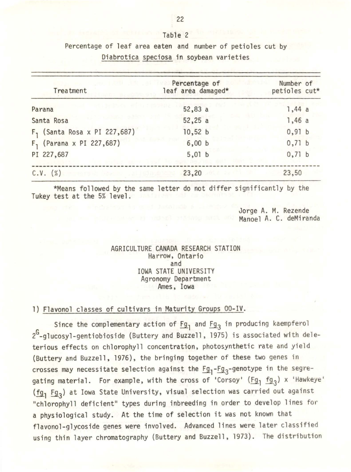| Diabrotica speciosa in soybean varieties |                                                       |                            |  |
|------------------------------------------|-------------------------------------------------------|----------------------------|--|
| Treatment                                | Percentage of<br>and the number<br>leaf area damaged* | Number of<br>petioles cut* |  |
| Parana                                   | $52,83$ a                                             | 1,44a                      |  |
| Santa Rosa                               | 52,25a                                                | 1,46a                      |  |

10,52 b 6,00 b 5,01 b

23,20

\*Means followed by the same letter do not differ significantly by the Tukey test at the 5% level.

> Jorge A. M. Rezende Manoel A. C. deMiranda

0,91 b 0,71 b 0,71 b

23,50

## AGRICULTURE CANADA RESEARCH STATION Harrow, Ontario and IOWA STATE UNIVERSITY Agronomy Department Ames, Iowa

## l) Flavonol classes of cultivars in Maturity Groups 00-IV.

F <sup>1</sup>(Santa Rosa x PI 227,687)

F <sup>1</sup>(Parana x PI 227,687)

PI 227,687

 $C.V.$   $(\%)$ 

Since the complementary action of  $Fg_1$  and  $Fg_3$  in producing kaempferol  $2<sup>G</sup>$ -glucosyl-gentiobioside (Buttery and Buzzell, 1975) is associated with deleterious effects on chlorophyll concentration, photosynthetic rate and yield (Buttery and Buzzell, 1976), the bringing together of these two genes in crosses may necessitate selection against the Fg<sub>1</sub>-Fg<sub>3</sub>-genotype in the segregating material. For example, with the cross of 'Corsoy' (Fg<sub>l</sub> fg<sub>3</sub>) x 'Hawkeye' (fg<sub>1</sub> Fg<sub>3</sub>) at Iowa State University, visual selection was carried out against "chlorophyll deficient" types during inbreeding in order to develop lines for a physiological study. At the time of selection it was not known that flavonol-glycoside genes were involved. Advanced lines were later classified using thin layer chromatography (Buttery and Buzzell, 1973). The distribution

Table 2 Percentage of leaf area eaten and number of petioles cut by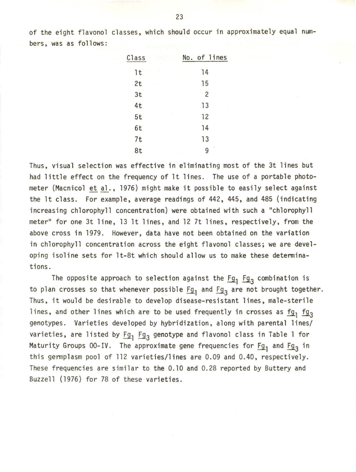of the eight flavonol classes, which should occur in approximately equal numbers, was as follows:

| Class | No. of lines   |
|-------|----------------|
| 1t    | 14             |
| 2t    | 15             |
| 3t    | $\overline{c}$ |
| 4t    | 13             |
| 5t    | 12             |
| 6t    | 14             |
| 7t    | 13             |
| 8t    | m.<br>q        |

Thus, visual selection was effective in eliminating most of the 3t lines but had little effect on the frequency of lt lines. The use of a portable photometer (Macnicol et al., 1976) might make it possible to easily select against the lt class. For example, average readings of 442, 445, and 485 (indicating increasing chlorophyll concentration) were obtained with such a "chlorophyll meter" for one 3t line, 13 lt lines, and 12 7t lines, respectively, from the above cross in 1979. However, data have not been obtained on the variation in chlorophyll concentration across the eight flavonol classes; we are developing isoline sets for lt-8t which should allow us to make these detenninations.

The opposite approach to selection against the  $Fg_1$   $Fg_3$  combination is to plan crosses so that whenever possible  $Fg_1$  and  $Fg_3$  are not brought together. Thus, it would be desirable to develop disease-resistant lines, male-sterile lines, and other lines which are to be used frequently in crosses as  $fg_1$   $fg_3$ genotypes. Varieties developed by hybridization, along with parental lines/ varieties, are listed by  $Fg_1$   $Fg_3$  genotype and flavonol class in Table 1 for Maturity Groups 00-IV. The approximate gene frequencies for  $\underline{Fg}_1$  and  $\underline{Fg}_3$  in this gennplasm pool of 112 varieties/lines are 0.09 and 0.40, respectively. These frequencies are similar to the 0.10 and 0.28 reported by Buttery and Buzzell (1976) for 78 of these varieties.

23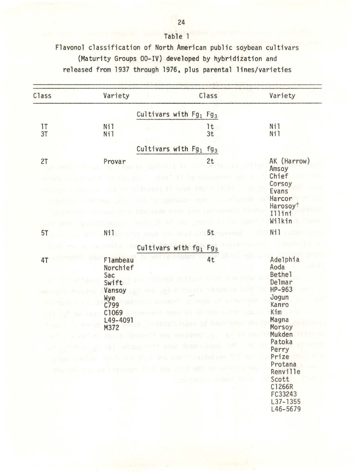Flavonol classification of North American public soybean cultivars (Maturity Groups 00-IV) developed by hybridization and released from 1937 through 1976, plus parental lines/varieties

| Class    | Variety                                                                                                                                                   | Class                                                                                                                                          | Variety                                                                                                                                                                                                               |
|----------|-----------------------------------------------------------------------------------------------------------------------------------------------------------|------------------------------------------------------------------------------------------------------------------------------------------------|-----------------------------------------------------------------------------------------------------------------------------------------------------------------------------------------------------------------------|
|          |                                                                                                                                                           | Cultivars with $Fg_1$ $Fg_3$                                                                                                                   |                                                                                                                                                                                                                       |
| 1T<br>3T | Ni1<br>Ni1                                                                                                                                                | It.<br>3t                                                                                                                                      | Nil<br>Ni1                                                                                                                                                                                                            |
|          |                                                                                                                                                           | Cultivars with $Fg_1$ $fg_3$                                                                                                                   |                                                                                                                                                                                                                       |
| 2T       | Provar                                                                                                                                                    | 2t<br>senif ji je vopsupen                                                                                                                     | AK (Harrow)<br>Amsoy<br>Chief                                                                                                                                                                                         |
|          | <b>BORELLY</b>                                                                                                                                            | ni tidragou di Gaun JAPIT<br>des . São lo confluso spara a lo familo<br>PACTAINS ATON (BOLLAT<br>if SI one , more of Li . and h                | Corsoy<br>Evans<br>Harcor<br>Harosoy <sup>†</sup><br>Illini<br>Wilkin                                                                                                                                                 |
| 5T       | N <sub>1</sub>                                                                                                                                            | the earst ren next dis5t mountain                                                                                                              | Ni1                                                                                                                                                                                                                   |
|          | Cultivars with fg <sub>1</sub> Fg <sub>3</sub>                                                                                                            |                                                                                                                                                |                                                                                                                                                                                                                       |
| 4T       | Flambeau<br>Norchief<br>Sac<br>Swift<br>Vansoy<br>Wye<br>C799<br>C1069<br>L49-4091<br>M372<br>has you get we heganaher ES. I bas Di. I say of a stick eng | 4t<br>$1 - 240 - 45$<br><b>93.00</b><br>the property and the last<br><b>UNI ROYAGES - 20</b><br><b>ADAC OC SELLO NUCL</b><br>to the viving the | Adelphia<br>Aoda<br><b>Bethel</b><br>Delmar<br>HP-963<br>Jogun<br>Kanro<br>Kim<br>Magna<br>Morsoy<br>Mukden<br>Patoka<br>Perry<br>Prize<br>Protana<br>Renville<br>Scott<br>TC TE<br>C1266R<br>FC33243<br>$L37 - 1355$ |

Table l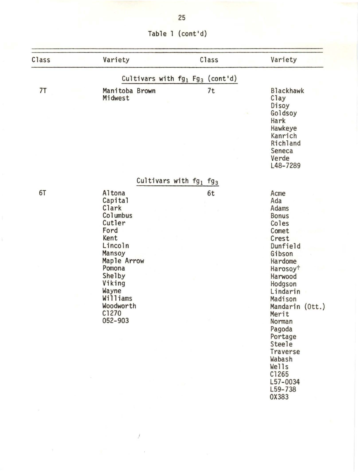| Table 1 (cont'd) |  |  |  |  |
|------------------|--|--|--|--|
|------------------|--|--|--|--|

| Class | Variety                                                                                                                                                                                  | Class                                          | Variety                                                                                                                                                                                                                                                                                                                |
|-------|------------------------------------------------------------------------------------------------------------------------------------------------------------------------------------------|------------------------------------------------|------------------------------------------------------------------------------------------------------------------------------------------------------------------------------------------------------------------------------------------------------------------------------------------------------------------------|
|       |                                                                                                                                                                                          | Cultivars with $fg_1$ Fg <sub>3</sub> (cont'd) |                                                                                                                                                                                                                                                                                                                        |
| 7T    | Manitoba Brown<br>Midwest                                                                                                                                                                | 7t                                             | <b>Blackhawk</b><br>Clay<br>Disoy<br>Goldsoy<br>Hark<br>Hawkeye<br>Kanrich<br>Richland<br>Seneca<br>Verde<br>L48-7289                                                                                                                                                                                                  |
|       |                                                                                                                                                                                          | Cultivars with $fg_1$ $fg_3$                   |                                                                                                                                                                                                                                                                                                                        |
| 6T    | Altona<br>Capital<br>Clark<br>Columbus<br>Cutler<br>Ford<br>Kent<br>Lincoln<br>Mansoy<br>Maple Arrow<br>Pomona<br>Shelby<br>Viking<br>Wayne<br>Williams<br>Woodworth<br>C1270<br>052-903 | 6t                                             | Acme<br>Ada<br>Adams<br><b>Bonus</b><br>Coles<br>Comet<br>Crest<br>Dunfield<br>Gibson<br>Hardome<br>Harosoy <sup>+</sup><br>Harwood<br>Hodgson<br>Lindarin<br>Madison<br>Mandarin (Ott.)<br>Merit<br>Norman<br>Pagoda<br>Portage<br>Steele<br>Traverse<br>Wabash<br>Wells<br>C1265<br>$L57 - 0034$<br>L59-738<br>0X383 |
|       |                                                                                                                                                                                          |                                                |                                                                                                                                                                                                                                                                                                                        |